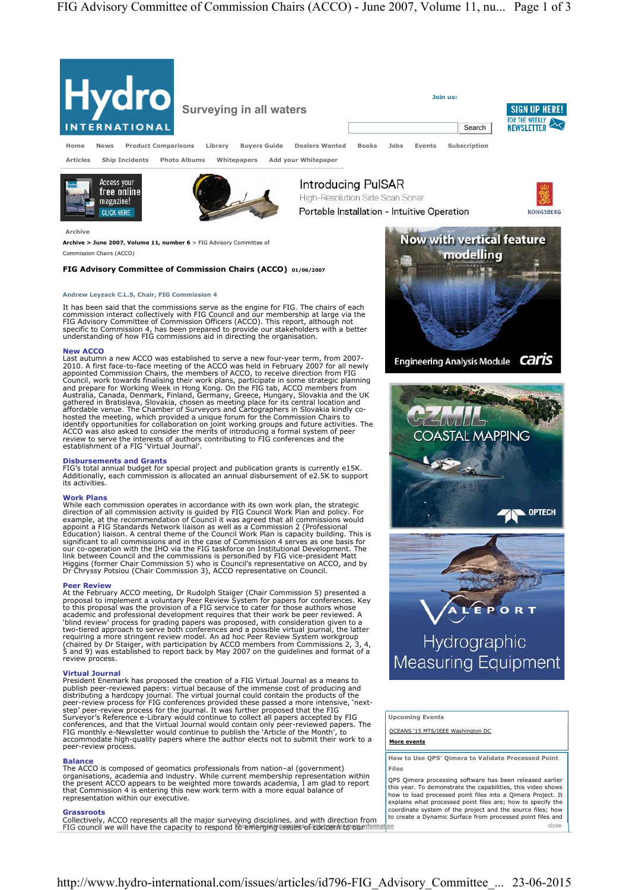

**More events**

**How to Use QPS' Qimera to Validate Processed Point Files** 

QPS Qimera processing software has been released earlier this year. To demonstrate the capabilities, this video shows how to load processed point files into a Qimera Project. It explains what processed point files are; how to specify the coordinate system of the project and the source files; how to create a Dynamic Surface from processed point files and close

Commission Chairs (ACCO)

# **FIG Advisory Committee of Commission Chairs (ACCO) 01/06/2007**

# **Disbursements and Grants**

President Enemark has proposed the creation of a FIG Virtual Journal as a means to<br>publish peer-reviewed papers: virtual because of the immense cost of producing and<br>distributing a hardcopy journal. The virtual journal cou peer-review process

**Balance**<br>The ACCO is composed of geomatics professionals from nation–al (government)<br>organisations, academia and industry. While current membership representation within<br>the present ACCO appears to be weighted more toward that Commission 4 is entering this new work term with a more equal balance of representation within our executive.

Grassroots<br>Collectively, ACCO represents all the major surveying disciplines, and with direction from the<br>FIG council we will have the capacity to respond to exiterioging assaes of contect to capacity and the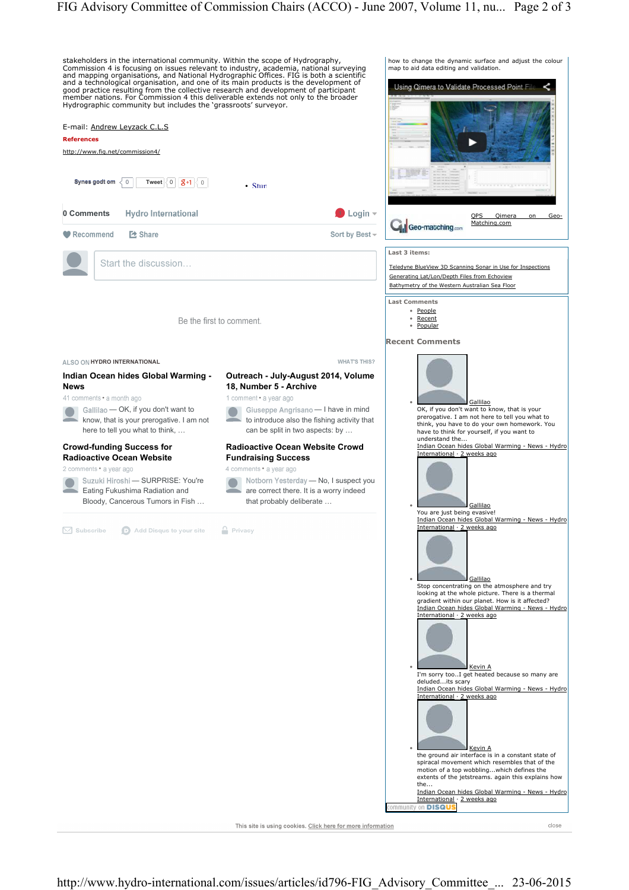